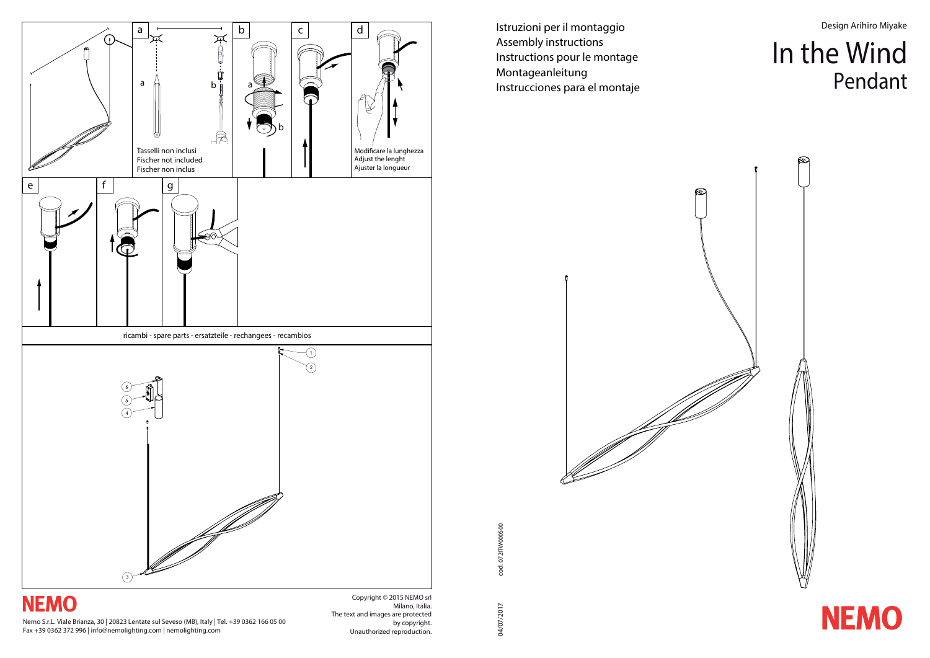Istruzioni per il montaggio Assembly instructions Instructions pour le montage Montageanleitung Instrucciones para el montaje



cod. 072ITW000500 cod. 072ITW000500

**NEMO** 

04/07/2017 04/07/2017

Design Arihiro Miyake

# In the Wind Pendant



Nemo S.r.L. Viale Brianza, 30 | 20823 Lentate sul Seveso (MB), Italy | Tel. +39 0362 166 05 00 Fax +39 0362 372 996 | info@nemolighting.com | nemolighting.com

Copyright © 2015 NEMO srl Milano, Italia. The text and images are protected by copyright. Unauthorized reproduction.